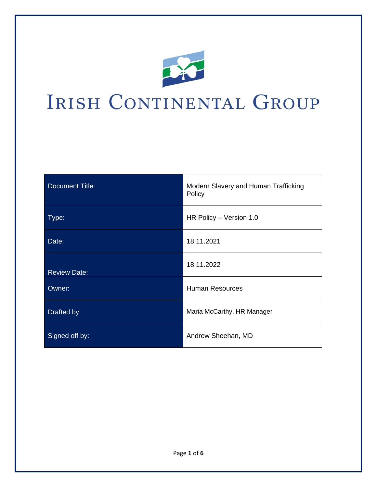

# IRISH CONTINENTAL GROUP

| <b>Document Title:</b> | Modern Slavery and Human Trafficking<br>Policy |
|------------------------|------------------------------------------------|
| Type:                  | HR Policy - Version 1.0                        |
| Date:                  | 18.11.2021                                     |
| <b>Review Date:</b>    | 18.11.2022                                     |
| Owner:                 | <b>Human Resources</b>                         |
| Drafted by:            | Maria McCarthy, HR Manager                     |
| Signed off by:         | Andrew Sheehan, MD                             |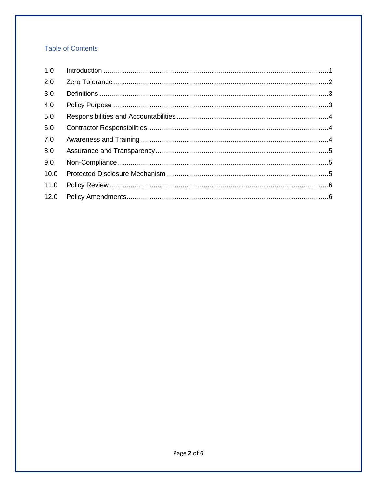## **Table of Contents**

| 1.0  |  |
|------|--|
| 2.0  |  |
| 3.0  |  |
| 4.0  |  |
| 5.0  |  |
| 6.0  |  |
| 7.0  |  |
| 8.0  |  |
| 9.0  |  |
| 10.0 |  |
| 11.0 |  |
| 12.0 |  |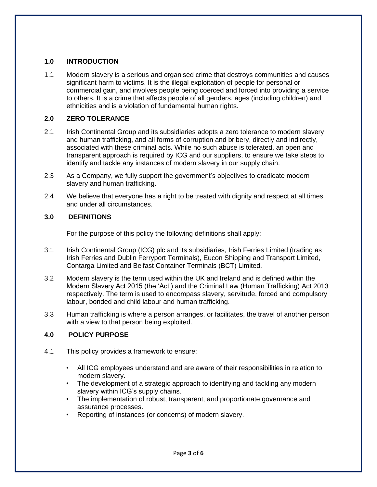#### **1.0 INTRODUCTION**

1.1 Modern slavery is a serious and organised crime that destroys communities and causes significant harm to victims. It is the illegal exploitation of people for personal or commercial gain, and involves people being coerced and forced into providing a service to others. It is a crime that affects people of all genders, ages (including children) and ethnicities and is a violation of fundamental human rights.

#### **2.0 ZERO TOLERANCE**

- 2.1 Irish Continental Group and its subsidiaries adopts a zero tolerance to modern slavery and human trafficking, and all forms of corruption and bribery, directly and indirectly, associated with these criminal acts. While no such abuse is tolerated, an open and transparent approach is required by ICG and our suppliers, to ensure we take steps to identify and tackle any instances of modern slavery in our supply chain.
- 2.3 As a Company, we fully support the government's objectives to eradicate modern slavery and human trafficking.
- 2.4 We believe that everyone has a right to be treated with dignity and respect at all times and under all circumstances.

#### **3.0 DEFINITIONS**

For the purpose of this policy the following definitions shall apply:

- 3.1 Irish Continental Group (ICG) plc and its subsidiaries, Irish Ferries Limited (trading as Irish Ferries and Dublin Ferryport Terminals), Eucon Shipping and Transport Limited, Contarga Limited and Belfast Container Terminals (BCT) Limited.
- 3.2 Modern slavery is the term used within the UK and Ireland and is defined within the Modern Slavery Act 2015 (the 'Act') and the Criminal Law (Human Trafficking) Act 2013 respectively. The term is used to encompass slavery, servitude, forced and compulsory labour, bonded and child labour and human trafficking.
- 3.3 Human trafficking is where a person arranges, or facilitates, the travel of another person with a view to that person being exploited.

## **4.0 POLICY PURPOSE**

- 4.1 This policy provides a framework to ensure:
	- All ICG employees understand and are aware of their responsibilities in relation to modern slavery.
	- The development of a strategic approach to identifying and tackling any modern slavery within ICG's supply chains.
	- The implementation of robust, transparent, and proportionate governance and assurance processes.
	- Reporting of instances (or concerns) of modern slavery.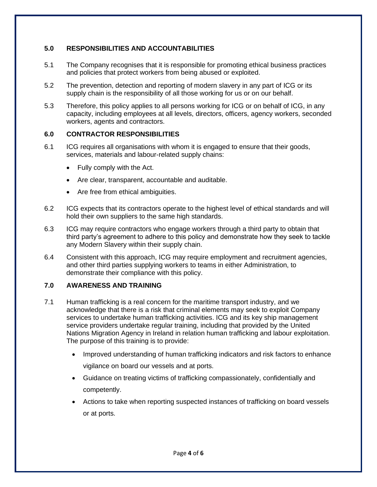## **5.0 RESPONSIBILITIES AND ACCOUNTABILITIES**

- 5.1 The Company recognises that it is responsible for promoting ethical business practices and policies that protect workers from being abused or exploited.
- 5.2 The prevention, detection and reporting of modern slavery in any part of ICG or its supply chain is the responsibility of all those working for us or on our behalf.
- 5.3 Therefore, this policy applies to all persons working for ICG or on behalf of ICG, in any capacity, including employees at all levels, directors, officers, agency workers, seconded workers, agents and contractors.

## **6.0 CONTRACTOR RESPONSIBILITIES**

- 6.1 ICG requires all organisations with whom it is engaged to ensure that their goods, services, materials and labour-related supply chains:
	- Fully comply with the Act.
	- Are clear, transparent, accountable and auditable.
	- Are free from ethical ambiguities.
- 6.2 ICG expects that its contractors operate to the highest level of ethical standards and will hold their own suppliers to the same high standards.
- 6.3 ICG may require contractors who engage workers through a third party to obtain that third party's agreement to adhere to this policy and demonstrate how they seek to tackle any Modern Slavery within their supply chain.
- 6.4 Consistent with this approach, ICG may require employment and recruitment agencies, and other third parties supplying workers to teams in either Administration, to demonstrate their compliance with this policy.

## **7.0 AWARENESS AND TRAINING**

- 7.1 Human trafficking is a real concern for the maritime transport industry, and we acknowledge that there is a risk that criminal elements may seek to exploit Company services to undertake human trafficking activities. ICG and its key ship management service providers undertake regular training, including that provided by the United Nations Migration Agency in Ireland in relation human trafficking and labour exploitation. The purpose of this training is to provide:
	- Improved understanding of human trafficking indicators and risk factors to enhance vigilance on board our vessels and at ports.
	- Guidance on treating victims of trafficking compassionately, confidentially and competently.
	- Actions to take when reporting suspected instances of trafficking on board vessels or at ports.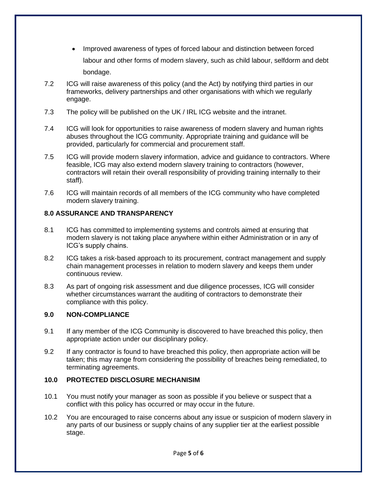- Improved awareness of types of forced labour and distinction between forced labour and other forms of modern slavery, such as child labour, selfdorm and debt bondage.
- 7.2 ICG will raise awareness of this policy (and the Act) by notifying third parties in our frameworks, delivery partnerships and other organisations with which we regularly engage.
- 7.3 The policy will be published on the UK / IRL ICG website and the intranet.
- 7.4 ICG will look for opportunities to raise awareness of modern slavery and human rights abuses throughout the ICG community. Appropriate training and guidance will be provided, particularly for commercial and procurement staff.
- 7.5 ICG will provide modern slavery information, advice and guidance to contractors. Where feasible, ICG may also extend modern slavery training to contractors (however, contractors will retain their overall responsibility of providing training internally to their staff).
- 7.6 ICG will maintain records of all members of the ICG community who have completed modern slavery training.

## **8.0 ASSURANCE AND TRANSPARENCY**

- 8.1 ICG has committed to implementing systems and controls aimed at ensuring that modern slavery is not taking place anywhere within either Administration or in any of ICG's supply chains.
- 8.2 ICG takes a risk-based approach to its procurement, contract management and supply chain management processes in relation to modern slavery and keeps them under continuous review.
- 8.3 As part of ongoing risk assessment and due diligence processes, ICG will consider whether circumstances warrant the auditing of contractors to demonstrate their compliance with this policy.

#### **9.0 NON-COMPLIANCE**

- 9.1 If any member of the ICG Community is discovered to have breached this policy, then appropriate action under our disciplinary policy.
- 9.2 If any contractor is found to have breached this policy, then appropriate action will be taken; this may range from considering the possibility of breaches being remediated, to terminating agreements.

#### **10.0 PROTECTED DISCLOSURE MECHANISIM**

- 10.1 You must notify your manager as soon as possible if you believe or suspect that a conflict with this policy has occurred or may occur in the future.
- 10.2 You are encouraged to raise concerns about any issue or suspicion of modern slavery in any parts of our business or supply chains of any supplier tier at the earliest possible stage.